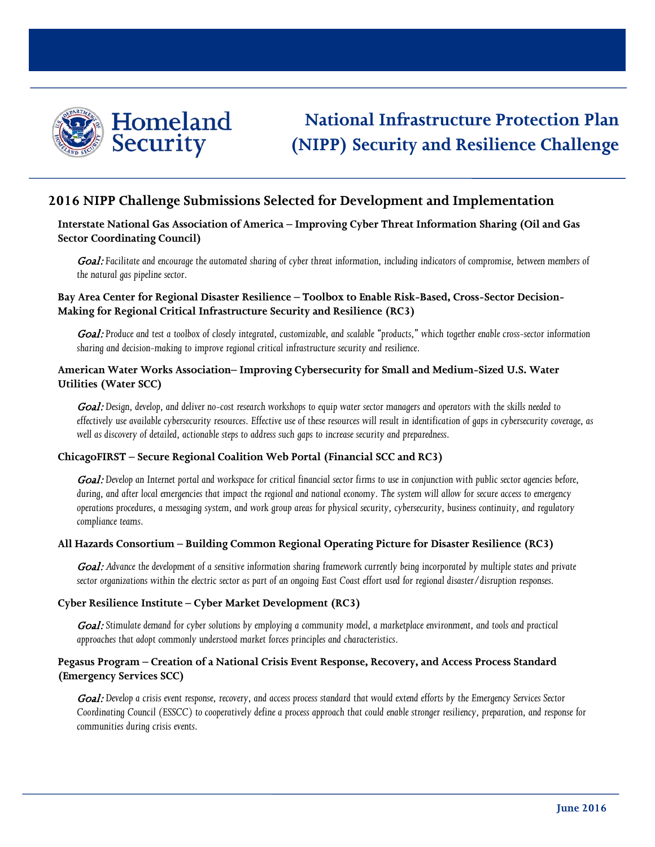

# **National Infrastructure Protection Plan (NIPP) Security and Resilience Challenge**

## **2016 NIPP Challenge Submissions Selected for Development and Implementation**

## **Interstate National Gas Association of America – Improving Cyber Threat Information Sharing (Oil and Gas Sector Coordinating Council)**

Goal: Facilitate and encourage the automated sharing of cyber threat information, including indicators of compromise, between members of *the natural gas pipeline sector.*

## **Bay Area Center for Regional Disaster Resilience – Toolbox to Enable Risk-Based, Cross-Sector Decision-Making for Regional Critical Infrastructure Security and Resilience (RC3)**

Goal: Produce and test a toolbox of closely integrated, customizable, and scalable "products," which together enable cross-sector information *sharing and decision-making to improve regional critical infrastructure security and resilience.* 

## **American Water Works Association– Improving Cybersecurity for Small and Medium-Sized U.S. Water Utilities (Water SCC)**

Goal: Design, develop, and deliver no-cost research workshops to equip water sector managers and operators with the skills needed to *effectively use available cybersecurity resources. Effective use of these resources will result in identification of gaps in cybersecurity coverage, as well as discovery of detailed, actionable steps to address such gaps to increase security and preparedness.*

## **ChicagoFIRST – Secure Regional Coalition Web Portal (Financial SCC and RC3)**

Goal: Develop an Internet portal and workspace for critical financial sector firms to use in conjunction with public sector agencies before, *during, and after local emergencies that impact the regional and national economy. The system will allow for secure access to emergency operations procedures, a messaging system, and work group areas for physical security, cybersecurity, business continuity, and regulatory compliance teams.*

#### **All Hazards Consortium – Building Common Regional Operating Picture for Disaster Resilience (RC3)**

Goal: Advance the development of a sensitive information sharing framework currently being incorporated by multiple states and private *sector organizations within the electric sector as part of an ongoing East Coast effort used for regional disaster/disruption responses.*

#### **Cyber Resilience Institute – Cyber Market Development (RC3)**

Goal: Stimulate demand for cyber solutions by employing a community model, a marketplace environment, and tools and practical *approaches that adopt commonly understood market forces principles and characteristics*.

## **Pegasus Program – Creation of a National Crisis Event Response, Recovery, and Access Process Standard (Emergency Services SCC)**

Goal: *Develop a crisis event response, recovery, and access process standard that would extend efforts by the Emergency Services Sector Coordinating Council (ESSCC) to cooperatively define a process approach that could enable stronger resiliency, preparation, and response for communities during crisis events.*